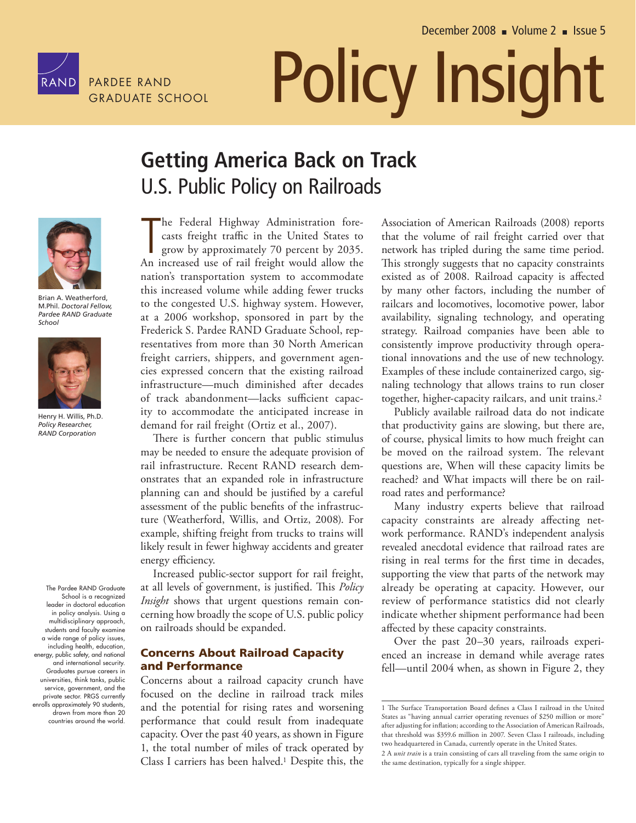

# PARDEE RAND **POlicy Insight**

# **Getting Contract Contract Contract Contract Contract Contract Contract Contract Contract Contract Contract Contract Contract Contract Contract Contract Contract Contract Contract Contract Contract Contract Contract Contra** U.S. Public Policy on Railroads



Brian A. Weatherford, M.Phil. *Doctoral Fellow, Pardee RAND Graduate School*



Henry H. Willis, Ph.D. *Policy Researcher, RAND Corporation*

The Pardee RAND Graduate School is a recognized leader in doctoral education in policy analysis. Using a multidisciplinary approach, students and faculty examine a wide range of policy issues, including health, education, energy, public safety, and national and international security. Graduates pursue careers in universities, think tanks, public service, government, and the private sector. PRGS currently enrolls approximately 90 students, drawn from more than 20 countries around the world.

T he Federal Highway Administration forecasts freight traffic in the United States to grow by approximately 70 percent by 2035. An increased use of rail freight would allow the nation's transportation system to accommodate this increased volume while adding fewer trucks to the congested U.S. highway system. However, at a 2006 workshop, sponsored in part by the Frederick S. Pardee RAND Graduate School, representatives from more than 30 North American freight carriers, shippers, and government agencies expressed concern that the existing railroad infrastructure—much diminished after decades of track abandonment—lacks sufficient capacity to accommodate the anticipated increase in demand for rail freight (Ortiz et al., 2007).

There is further concern that public stimulus may be needed to ensure the adequate provision of rail infrastructure. Recent RAND research demonstrates that an expanded role in infrastructure planning can and should be justified by a careful assessment of the public benefits of the infrastructure (Weatherford, Willis, and Ortiz, 2008). For example, shifting freight from trucks to trains will likely result in fewer highway accidents and greater energy efficiency.

Increased public-sector support for rail freight, at all levels of government, is justified. This *Policy Insight* shows that urgent questions remain concerning how broadly the scope of U.S. public policy on railroads should be expanded.

## **Concerns About Railroad Capacity and Performance**

Concerns about a railroad capacity crunch have focused on the decline in railroad track miles and the potential for rising rates and worsening performance that could result from inadequate capacity. Over the past 40 years, as shown in Figure 1, the total number of miles of track operated by Class I carriers has been halved.1 Despite this, the Association of American Railroads (2008) reports that the volume of rail freight carried over that network has tripled during the same time period. This strongly suggests that no capacity constraints existed as of 2008. Railroad capacity is affected by many other factors, including the number of railcars and locomotives, locomotive power, labor availability, signaling technology, and operating strategy. Railroad companies have been able to consistently improve productivity through operational innovations and the use of new technology. Examples of these include containerized cargo, signaling technology that allows trains to run closer together, higher-capacity railcars, and unit trains.2

Publicly available railroad data do not indicate that productivity gains are slowing, but there are, of course, physical limits to how much freight can be moved on the railroad system. The relevant questions are, When will these capacity limits be reached? and What impacts will there be on railroad rates and performance?

Many industry experts believe that railroad capacity constraints are already affecting network performance. RAND's independent analysis revealed anecdotal evidence that railroad rates are rising in real terms for the first time in decades, supporting the view that parts of the network may already be operating at capacity. However, our review of performance statistics did not clearly indicate whether shipment performance had been affected by these capacity constraints.

Over the past 20–30 years, railroads experienced an increase in demand while average rates fell—until 2004 when, as shown in Figure 2, they

<sup>1</sup> The Surface Transportation Board defines a Class I railroad in the United States as "having annual carrier operating revenues of \$250 million or more" after adjusting for inflation; according to the Association of American Railroads, that threshold was \$359.6 million in 2007. Seven Class I railroads, including two headquartered in Canada, currently operate in the United States.

<sup>2</sup> A *unit train* is a train consisting of cars all traveling from the same origin to the same destination, typically for a single shipper.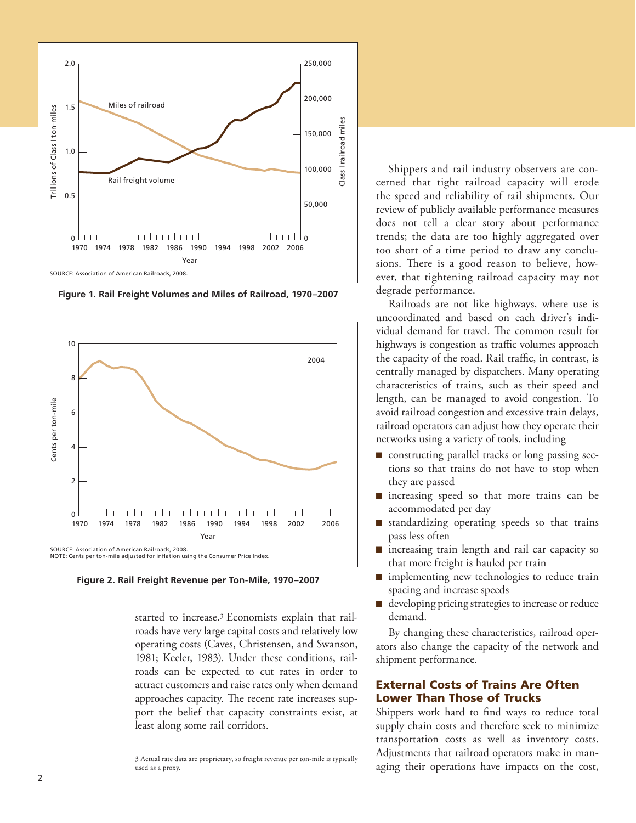

**Figure 1. Rail Freight Volumes and Miles of Railroad, 1970–2007**



**Figure 2. Rail Freight Revenue per Ton-Mile, 1970–2007**

started to increase.3 Economists explain that railroads have very large capital costs and relatively low operating costs (Caves, Christensen, and Swanson, 1981; Keeler, 1983). Under these conditions, railroads can be expected to cut rates in order to attract customers and raise rates only when demand approaches capacity. The recent rate increases support the belief that capacity constraints exist, at least along some rail corridors.

3 Actual rate data are proprietary, so freight revenue per ton-mile is typically used as a proxy.

Shippers and rail industry observers are concerned that tight railroad capacity will erode the speed and reliability of rail shipments. Our review of publicly available performance measures does not tell a clear story about performance trends; the data are too highly aggregated over too short of a time period to draw any conclusions. There is a good reason to believe, however, that tightening railroad capacity may not degrade performance.

Railroads are not like highways, where use is uncoordinated and based on each driver's individual demand for travel. The common result for highways is congestion as traffic volumes approach the capacity of the road. Rail traffic, in contrast, is centrally managed by dispatchers. Many operating characteristics of trains, such as their speed and length, can be managed to avoid congestion. To avoid railroad congestion and excessive train delays, railroad operators can adjust how they operate their networks using a variety of tools, including

- $\blacksquare$  constructing parallel tracks or long passing sections so that trains do not have to stop when they are passed
- $\blacksquare$  increasing speed so that more trains can be accommodated per day
- $\blacksquare$  standardizing operating speeds so that trains pass less often
- $\blacksquare$  increasing train length and rail car capacity so that more freight is hauled per train
- $\blacksquare$  implementing new technologies to reduce train spacing and increase speeds
- $\blacksquare$  developing pricing strategies to increase or reduce demand.

By changing these characteristics, railroad operators also change the capacity of the network and shipment performance.

## **External Costs of Trains Are Often Lower Than Those of Trucks**

Shippers work hard to find ways to reduce total supply chain costs and therefore seek to minimize transportation costs as well as inventory costs. Adjustments that railroad operators make in managing their operations have impacts on the cost,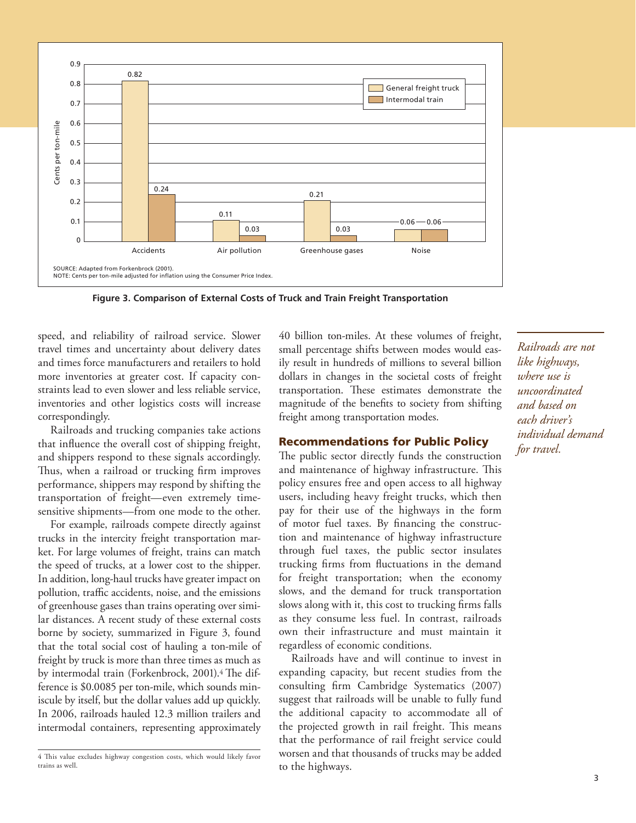

**Figure 3. Comparison of External Costs of Truck and Train Freight Transportation**

speed, and reliability of railroad service. Slower travel times and uncertainty about delivery dates and times force manufacturers and retailers to hold more inventories at greater cost. If capacity constraints lead to even slower and less reliable service, inventories and other logistics costs will increase correspondingly.

Railroads and trucking companies take actions that influence the overall cost of shipping freight, and shippers respond to these signals accordingly. Thus, when a railroad or trucking firm improves performance, shippers may respond by shifting the transportation of freight—even extremely timesensitive shipments—from one mode to the other.

For example, railroads compete directly against trucks in the intercity freight transportation market. For large volumes of freight, trains can match the speed of trucks, at a lower cost to the shipper. In addition, long-haul trucks have greater impact on pollution, traffic accidents, noise, and the emissions of greenhouse gases than trains operating over similar distances. A recent study of these external costs borne by society, summarized in Figure 3, found that the total social cost of hauling a ton-mile of freight by truck is more than three times as much as by intermodal train (Forkenbrock, 2001).<sup>4</sup> The difference is \$0.0085 per ton-mile, which sounds miniscule by itself, but the dollar values add up quickly. In 2006, railroads hauled 12.3 million trailers and intermodal containers, representing approximately 40 billion ton-miles. At these volumes of freight, small percentage shifts between modes would easily result in hundreds of millions to several billion dollars in changes in the societal costs of freight transportation. These estimates demonstrate the magnitude of the benefits to society from shifting freight among transportation modes.

### **Recommendations for Public Policy**

The public sector directly funds the construction and maintenance of highway infrastructure. This policy ensures free and open access to all highway users, including heavy freight trucks, which then pay for their use of the highways in the form of motor fuel taxes. By financing the construction and maintenance of highway infrastructure through fuel taxes, the public sector insulates trucking firms from fluctuations in the demand for freight transportation; when the economy slows, and the demand for truck transportation slows along with it, this cost to trucking firms falls as they consume less fuel. In contrast, railroads own their infrastructure and must maintain it regardless of economic conditions.

Railroads have and will continue to invest in expanding capacity, but recent studies from the consulting firm Cambridge Systematics (2007) suggest that railroads will be unable to fully fund the additional capacity to accommodate all of the projected growth in rail freight. This means that the performance of rail freight service could worsen and that thousands of trucks may be added to the highways.

*Railroads are not like highways, where use is uncoordinated and based on each driver's individual demand for travel.*

<sup>4</sup> This value excludes highway congestion costs, which would likely favor trains as well.